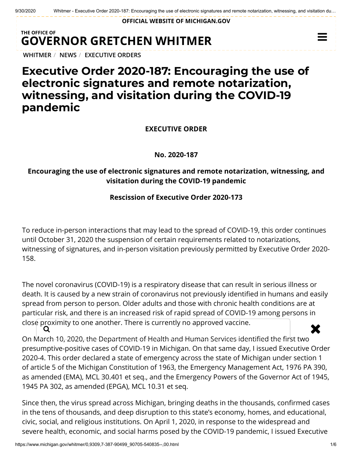9/30/2020 Whitmer - Executive Order 2020-187: Encouraging the use of electronic signatures and remote notarization, witnessing, and visitation du...

**OFFICIAL WEBSITE OF [MICHIGAN.GOV](https://www.michigan.gov/)**

## **THE OFFICE OF GOVERNOR [GRETCHEN WHITMER](https://www.michigan.gov/whitmer/)**

**[WHITMER](https://www.michigan.gov/whitmer/)** / **[NEWS](https://www.michigan.gov/whitmer/0,9309,7-387-90499---,00.html)** / **[EXECUTIVE ORDERS](https://www.michigan.gov/whitmer/0,9309,7-387-90499_90705---,00.html)**

## **Executive Order 2020-187: Encouraging the use of electronic signatures and remote notarization, witnessing, and visitation during the COVID-19 pandemic**

**EXECUTIVE ORDER**

**No. 2020-187**

## **Encouraging the use of electronic signatures and remote notarization, witnessing, and visitation during the COVID-19 pandemic**

## **Rescission of Executive Order 2020-173**

To reduce in-person interactions that may lead to the spread of COVID-19, this order continues until October 31, 2020 the suspension of certain requirements related to notarizations, witnessing of signatures, and in-person visitation previously permitted by Executive Order 2020- 158.

The novel coronavirus (COVID-19) is a respiratory disease that can result in serious illness or death. It is caused by a new strain of coronavirus not previously identified in humans and easily spread from person to person. Older adults and those with chronic health conditions are at particular risk, and there is an increased risk of rapid spread of COVID-19 among persons in close proximity to one another. There is currently no approved vaccine.<br>  $\begin{array}{|c|c|}\hline\textbf{Q} & \textbf{R}\ \hline \end{array}$ 

On March 10, 2020, the Department of Health and Human Services identified the first two presumptive-positive cases of COVID-19 in Michigan. On that same day, I issued Executive Order 2020-4. This order declared a state of emergency across the state of Michigan under section 1 of article 5 of the Michigan Constitution of 1963, the Emergency Management Act, 1976 PA 390, as amended (EMA), MCL 30.401 et seq., and the Emergency Powers of the Governor Act of 1945, 1945 PA 302, as amended (EPGA), MCL 10.31 et seq.

Since then, the virus spread across Michigan, bringing deaths in the thousands, confirmed cases in the tens of thousands, and deep disruption to this state's economy, homes, and educational, civic, social, and religious institutions. On April 1, 2020, in response to the widespread and severe health, economic, and social harms posed by the COVID-19 pandemic, I issued Executive

 $\equiv$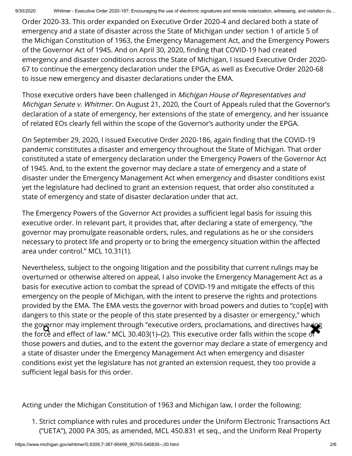Order 2020-33. This order expanded on Executive Order 2020-4 and declared both a state of emergency and a state of disaster across the State of Michigan under section 1 of article 5 of the Michigan Constitution of 1963, the Emergency Management Act, and the Emergency Powers of the Governor Act of 1945. And on April 30, 2020, finding that COVID-19 had created emergency and disaster conditions across the State of Michigan, I issued Executive Order 2020- 67 to continue the emergency declaration under the EPGA, as well as Executive Order 2020-68 to issue new emergency and disaster declarations under the EMA.

Those executive orders have been challenged in Michigan House of Representatives and Michigan Senate v. Whitmer. On August 21, 2020, the Court of Appeals ruled that the Governor's declaration of a state of emergency, her extensions of the state of emergency, and her issuance of related EOs clearly fell within the scope of the Governor's authority under the EPGA.

On September 29, 2020, I issued Executive Order 2020-186, again finding that the COVID-19 pandemic constitutes a disaster and emergency throughout the State of Michigan. That order constituted a state of emergency declaration under the Emergency Powers of the Governor Act of 1945. And, to the extent the governor may declare a state of emergency and a state of disaster under the Emergency Management Act when emergency and disaster conditions exist yet the legislature had declined to grant an extension request, that order also constituted a state of emergency and state of disaster declaration under that act.

The Emergency Powers of the Governor Act provides a sufficient legal basis for issuing this executive order. In relevant part, it provides that, after declaring a state of emergency, "the governor may promulgate reasonable orders, rules, and regulations as he or she considers necessary to protect life and property or to bring the emergency situation within the affected area under control." MCL 10.31(1).

Nevertheless, subject to the ongoing litigation and the possibility that current rulings may be overturned or otherwise altered on appeal, I also invoke the Emergency Management Act as a basis for executive action to combat the spread of COVID-19 and mitigate the effects of this emergency on the people of Michigan, with the intent to preserve the rights and protections provided by the EMA. The EMA vests the governor with broad powers and duties to "cop[e] with dangers to this state or the people of this state presented by a disaster or emergency," which the governor may implement through "executive orders, proclamations, and directives having<br>the force and effect of law " MCL 30 403(1)–(2). This executive order falls within the scope of the force and effect of law." MCL 30.403(1)-(2). This executive order falls within the scope of those powers and duties, and to the extent the governor may declare a state of emergency and a state of disaster under the Emergency Management Act when emergency and disaster conditions exist yet the legislature has not granted an extension request, they too provide a sufficient legal basis for this order.

Acting under the Michigan Constitution of 1963 and Michigan law, I order the following:

1. Strict compliance with rules and procedures under the Uniform Electronic Transactions Act ("UETA"), 2000 PA 305, as amended, MCL 450.831 et seq., and the Uniform Real Property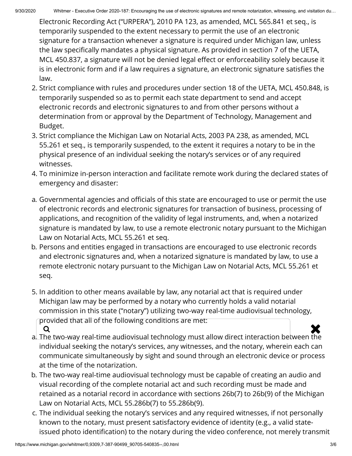Electronic Recording Act ("URPERA"), 2010 PA 123, as amended, MCL 565.841 et seq., is temporarily suspended to the extent necessary to permit the use of an electronic signature for a transaction whenever a signature is required under Michigan law, unless the law specifically mandates a physical signature. As provided in section 7 of the UETA, MCL 450.837, a signature will not be denied legal effect or enforceability solely because it is in electronic form and if a law requires a signature, an electronic signature satisfies the law.

- 2. Strict compliance with rules and procedures under section 18 of the UETA, MCL 450.848, is temporarily suspended so as to permit each state department to send and accept electronic records and electronic signatures to and from other persons without a determination from or approval by the Department of Technology, Management and Budget.
- 3. Strict compliance the Michigan Law on Notarial Acts, 2003 PA 238, as amended, MCL 55.261 et seq., is temporarily suspended, to the extent it requires a notary to be in the physical presence of an individual seeking the notary's services or of any required witnesses.
- 4. To minimize in-person interaction and facilitate remote work during the declared states of emergency and disaster:
- a. Governmental agencies and officials of this state are encouraged to use or permit the use of electronic records and electronic signatures for transaction of business, processing of applications, and recognition of the validity of legal instruments, and, when a notarized signature is mandated by law, to use a remote electronic notary pursuant to the Michigan Law on Notarial Acts, MCL 55.261 et seq.
- b. Persons and entities engaged in transactions are encouraged to use electronic records and electronic signatures and, when a notarized signature is mandated by law, to use a remote electronic notary pursuant to the Michigan Law on Notarial Acts, MCL 55.261 et seq.
- 5. In addition to other means available by law, any notarial act that is required under Michigan law may be performed by a notary who currently holds a valid notarial commission in this state ("notary") utilizing two-way real-time audiovisual technology, provided that all of the following conditions are met: References and time and in including the changes of the contract of the state of internation between  $\mathbb{R}$
- a. The two-way real-time audiovisual technology must allow direct interaction between the individual seeking the notary's services, any witnesses, and the notary, wherein each can communicate simultaneously by sight and sound through an electronic device or process at the time of the notarization.
- b. The two-way real-time audiovisual technology must be capable of creating an audio and visual recording of the complete notarial act and such recording must be made and retained as a notarial record in accordance with sections 26b(7) to 26b(9) of the Michigan Law on Notarial Acts, MCL 55.286b(7) to 55.286b(9).
- c. The individual seeking the notary's services and any required witnesses, if not personally known to the notary, must present satisfactory evidence of identity (e.g., a valid stateissued photo identification) to the notary during the video conference, not merely transmit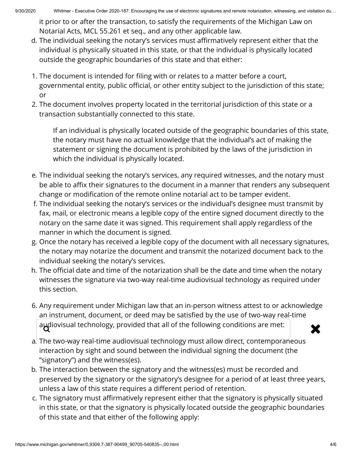it prior to or after the transaction, to satisfy the requirements of the Michigan Law on Notarial Acts, MCL 55.261 et seq., and any other applicable law.

- d. The individual seeking the notary's services must affirmatively represent either that the individual is physically situated in this state, or that the individual is physically located outside the geographic boundaries of this state and that either:
- 1. The document is intended for filing with or relates to a matter before a court, governmental entity, public official, or other entity subject to the jurisdiction of this state; or
- 2. The document involves property located in the territorial jurisdiction of this state or a transaction substantially connected to this state.

If an individual is physically located outside of the geographic boundaries of this state, the notary must have no actual knowledge that the individual's act of making the statement or signing the document is prohibited by the laws of the jurisdiction in which the individual is physically located.

- e. The individual seeking the notary's services, any required witnesses, and the notary must be able to affix their signatures to the document in a manner that renders any subsequent change or modification of the remote online notarial act to be tamper evident.
- f. The individual seeking the notary's services or the individual's designee must transmit by fax, mail, or electronic means a legible copy of the entire signed document directly to the notary on the same date it was signed. This requirement shall apply regardless of the manner in which the document is signed.
- g. Once the notary has received a legible copy of the document with all necessary signatures, the notary may notarize the document and transmit the notarized document back to the individual seeking the notary's services.
- h. The official date and time of the notarization shall be the date and time when the notary witnesses the signature via two-way real-time audiovisual technology as required under this section.
- 6. Any requirement under Michigan law that an in-person witness attest to or acknowledge an instrument, document, or deed may be satisfied by the use of two-way real-time audiovisual technology, provided that all of the following conditions are met:  $\begin{array}{|c|c|} \hline \textbf{X} & \textbf{y} & \textbf{y} \ \hline \end{array}$
- a. The two-way real-time audiovisual technology must allow direct, contemporaneous interaction by sight and sound between the individual signing the document (the "signatory") and the witness(es).
- b. The interaction between the signatory and the witness(es) must be recorded and preserved by the signatory or the signatory's designee for a period of at least three years, unless a law of this state requires a different period of retention.
- c. The signatory must affirmatively represent either that the signatory is physically situated in this state, or that the signatory is physically located outside the geographic boundaries of this state and that either of the following apply: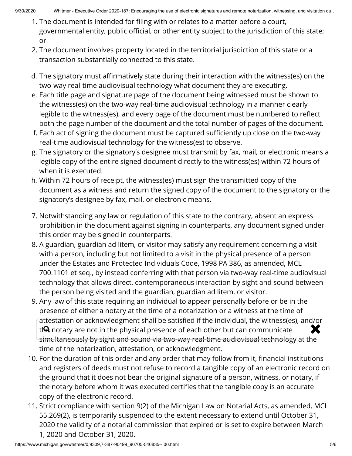- 1. The document is intended for filing with or relates to a matter before a court, governmental entity, public official, or other entity subject to the jurisdiction of this state; or
- 2. The document involves property located in the territorial jurisdiction of this state or a transaction substantially connected to this state.
- d. The signatory must affirmatively state during their interaction with the witness(es) on the two-way real-time audiovisual technology what document they are executing.
- e. Each title page and signature page of the document being witnessed must be shown to the witness(es) on the two-way real-time audiovisual technology in a manner clearly legible to the witness(es), and every page of the document must be numbered to reflect both the page number of the document and the total number of pages of the document.
- f. Each act of signing the document must be captured sufficiently up close on the two-way real-time audiovisual technology for the witness(es) to observe.
- g. The signatory or the signatory's designee must transmit by fax, mail, or electronic means a legible copy of the entire signed document directly to the witness(es) within 72 hours of when it is executed.
- h. Within 72 hours of receipt, the witness(es) must sign the transmitted copy of the document as a witness and return the signed copy of the document to the signatory or the signatory's designee by fax, mail, or electronic means.
- 7. Notwithstanding any law or regulation of this state to the contrary, absent an express prohibition in the document against signing in counterparts, any document signed under this order may be signed in counterparts.
- 8. A guardian, guardian ad litem, or visitor may satisfy any requirement concerning a visit with a person, including but not limited to a visit in the physical presence of a person under the Estates and Protected Individuals Code, 1998 PA 386, as amended, MCL 700.1101 et seq., by instead conferring with that person via two-way real-time audiovisual technology that allows direct, contemporaneous interaction by sight and sound between the person being visited and the guardian, guardian ad litem, or visitor.
- 9. Any law of this state requiring an individual to appear personally before or be in the presence of either a notary at the time of a notarization or a witness at the time of attestation or acknowledgment shall be satisfied if the individual, the witness(es), and/or the notary are not in the physical presence of each other but can communicate simultaneously by sight and sound via two-way real-time audiovisual technology at the time of the notarization, attestation, or acknowledgment.
- 10. For the duration of this order and any order that may follow from it, financial institutions and registers of deeds must not refuse to record a tangible copy of an electronic record on the ground that it does not bear the original signature of a person, witness, or notary, if the notary before whom it was executed certifies that the tangible copy is an accurate copy of the electronic record.
- 11. Strict compliance with section 9(2) of the Michigan Law on Notarial Acts, as amended, MCL 55.269(2), is temporarily suspended to the extent necessary to extend until October 31, 2020 the validity of a notarial commission that expired or is set to expire between March 1, 2020 and October 31, 2020.